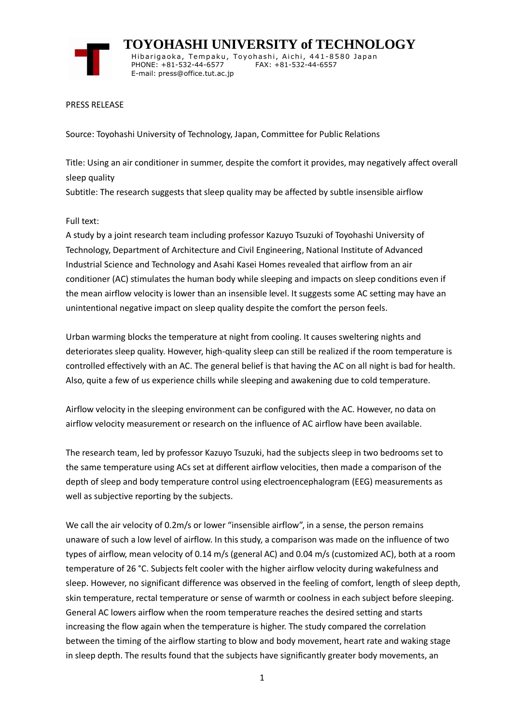

 **TOYOHASHI UNIVERSITY of TECHNOLOGY** Hibarigaoka, Tempaku, Toyohashi, Aichi, 441-8580 Japan PHONE: +81-532-44-6577 FAX: +81-532-44-6557 E-mail: press@office.tut.ac.jp

#### PRESS RELEASE

Source: Toyohashi University of Technology, Japan, Committee for Public Relations

Title: Using an air conditioner in summer, despite the comfort it provides, may negatively affect overall sleep quality

Subtitle: The research suggests that sleep quality may be affected by subtle insensible airflow

### Full text:

A study by a joint research team including professor Kazuyo Tsuzuki of Toyohashi University of Technology, Department of Architecture and Civil Engineering, National Institute of Advanced Industrial Science and Technology and Asahi Kasei Homes revealed that airflow from an air conditioner (AC) stimulates the human body while sleeping and impacts on sleep conditions even if the mean airflow velocity is lower than an insensible level. It suggests some AC setting may have an unintentional negative impact on sleep quality despite the comfort the person feels.

Urban warming blocks the temperature at night from cooling. It causes sweltering nights and deteriorates sleep quality. However, high-quality sleep can still be realized if the room temperature is controlled effectively with an AC. The general belief is that having the AC on all night is bad for health. Also, quite a few of us experience chills while sleeping and awakening due to cold temperature.

Airflow velocity in the sleeping environment can be configured with the AC. However, no data on airflow velocity measurement or research on the influence of AC airflow have been available.

The research team, led by professor Kazuyo Tsuzuki, had the subjects sleep in two bedrooms set to the same temperature using ACs set at different airflow velocities, then made a comparison of the depth of sleep and body temperature control using electroencephalogram (EEG) measurements as well as subjective reporting by the subjects.

We call the air velocity of 0.2m/s or lower "insensible airflow", in a sense, the person remains unaware of such a low level of airflow. In this study, a comparison was made on the influence of two types of airflow, mean velocity of 0.14 m/s (general AC) and 0.04 m/s (customized AC), both at a room temperature of 26 °C. Subjects felt cooler with the higher airflow velocity during wakefulness and sleep. However, no significant difference was observed in the feeling of comfort, length of sleep depth, skin temperature, rectal temperature or sense of warmth or coolness in each subject before sleeping. General AC lowers airflow when the room temperature reaches the desired setting and starts increasing the flow again when the temperature is higher. The study compared the correlation between the timing of the airflow starting to blow and body movement, heart rate and waking stage in sleep depth. The results found that the subjects have significantly greater body movements, an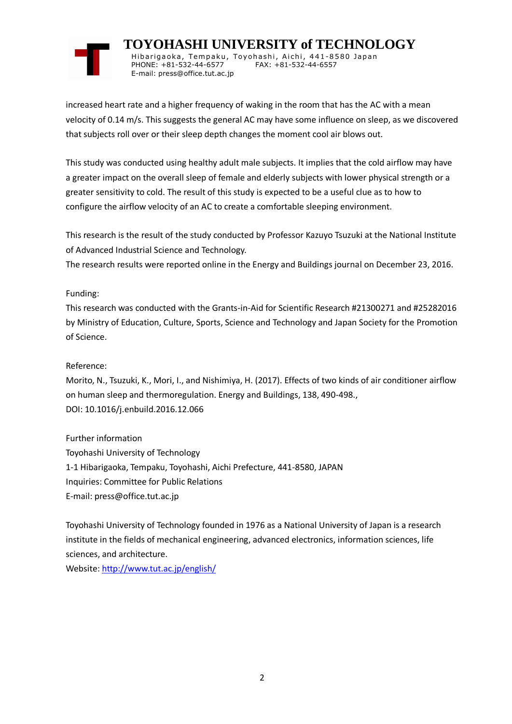

 **TOYOHASHI UNIVERSITY of TECHNOLOGY** Hibarigaoka, Tempaku, Toyohashi, Aichi, 441-8580 Japan PHONE: +81-532-44-6577 FAX: +81-532-44-6557 E-mail: press@office.tut.ac.jp

increased heart rate and a higher frequency of waking in the room that has the AC with a mean velocity of 0.14 m/s. This suggests the general AC may have some influence on sleep, as we discovered that subjects roll over or their sleep depth changes the moment cool air blows out.

This study was conducted using healthy adult male subjects. It implies that the cold airflow may have a greater impact on the overall sleep of female and elderly subjects with lower physical strength or a greater sensitivity to cold. The result of this study is expected to be a useful clue as to how to configure the airflow velocity of an AC to create a comfortable sleeping environment.

This research is the result of the study conducted by Professor Kazuyo Tsuzuki at the National Institute of Advanced Industrial Science and Technology.

The research results were reported online in the Energy and Buildings journal on December 23, 2016.

# Funding:

This research was conducted with the Grants-in-Aid for Scientific Research #21300271 and #25282016 by Ministry of Education, Culture, Sports, Science and Technology and Japan Society for the Promotion of Science.

### Reference:

Morito, N., Tsuzuki, K., Mori, I., and Nishimiya, H. (2017). Effects of two kinds of air conditioner airflow on human sleep and thermoregulation. Energy and Buildings, 138, 490-498., DOI: 10.1016/j.enbuild.2016.12.066

Further information Toyohashi University of Technology 1-1 Hibarigaoka, Tempaku, Toyohashi, Aichi Prefecture, 441-8580, JAPAN Inquiries: Committee for Public Relations E-mail: press@office.tut.ac.jp

Toyohashi University of Technology founded in 1976 as a National University of Japan is a research institute in the fields of mechanical engineering, advanced electronics, information sciences, life sciences, and architecture.

Website[: http://www.tut.ac.jp/english/](https://www.tut.ac.jp/english/)